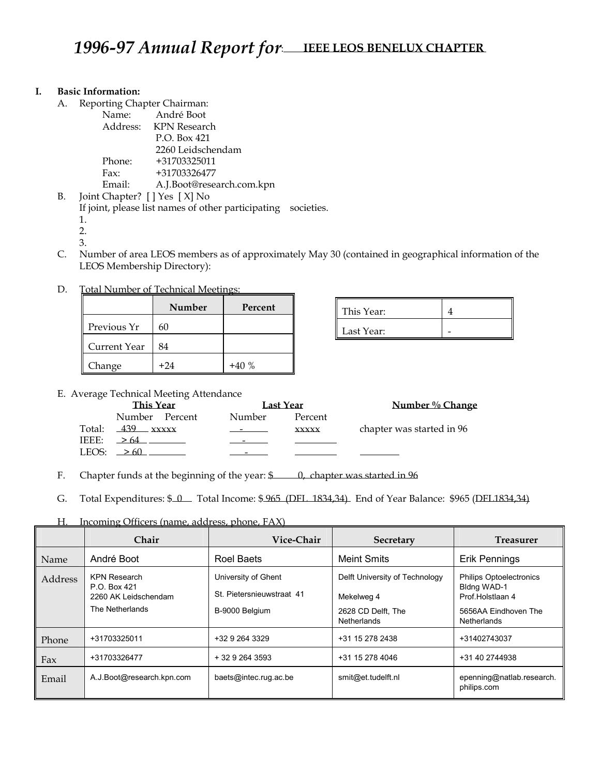## **I. Basic Information:**

A. Reporting Chapter Chairman:

| $\ldots$ nepoting only $\ldots$ |                           |
|---------------------------------|---------------------------|
|                                 | Name: André Boot          |
|                                 | Address: KPN Research     |
|                                 | P.O. Box 421              |
|                                 | 2260 Leidschendam         |
| Phone:                          | +31703325011              |
| Fax:                            | +31703326477              |
| Email:                          | A.J.Boot@research.com.kpn |
| B. Joint Chapter? [] Yes [X] No |                           |

- If joint, please list names of other participating societies. 1.
	- 2.
	- 3.
- C. Number of area LEOS members as of approximately May 30 (contained in geographical information of the LEOS Membership Directory):

## D. Total Number of Technical Meetings:

|              | Number | Percent |
|--------------|--------|---------|
| Previous Yr  | 60     |         |
| Current Year | 84     |         |
| Change       | $+24$  | $+40%$  |

| This Year: |  |
|------------|--|
| Last Year: |  |

E. Average Technical Meeting Attendance

|        | This Year          | Last Year                                                                                                                                                                                                                            |         | Number % Change           |
|--------|--------------------|--------------------------------------------------------------------------------------------------------------------------------------------------------------------------------------------------------------------------------------|---------|---------------------------|
|        | Number Percent     | Number                                                                                                                                                                                                                               | Percent |                           |
| Total: | <u>439 xxxxx</u>   | <u>and the community of the community of the community of the community of the community of the community of the community of the community of the community of the community of the community of the community of the community</u> | XXXXX   | chapter was started in 96 |
|        | <b>IEEE:</b> $>64$ |                                                                                                                                                                                                                                      |         |                           |
|        | LEOS: > 60         |                                                                                                                                                                                                                                      |         |                           |

F. Chapter funds at the beginning of the year: \$ 0, chapter was started in 96

G. Total Expenditures: \$ 0 Total Income: \$ 965 (DFL 1834,34) End of Year Balance: \$965 (DFL1834,34)

H. Incoming Officers (name, address, phone, FAX)

|         | <b>Chair</b>                                                                   | Vice-Chair                                                         | <b>Secretary</b>                                                                         | <b>Treasurer</b>                                                                                         |
|---------|--------------------------------------------------------------------------------|--------------------------------------------------------------------|------------------------------------------------------------------------------------------|----------------------------------------------------------------------------------------------------------|
| Name    | André Boot                                                                     | Roel Baets                                                         | <b>Meint Smits</b>                                                                       | Erik Pennings                                                                                            |
| Address | <b>KPN Research</b><br>P.O. Box 421<br>2260 AK Leidschendam<br>The Netherlands | University of Ghent<br>St. Pietersnieuwstraat 41<br>B-9000 Belgium | Delft University of Technology<br>Mekelweg 4<br>2628 CD Delft, The<br><b>Netherlands</b> | <b>Philips Optoelectronics</b><br>Bldng WAD-1<br>Prof Holstlaan 4<br>5656AA Eindhoven The<br>Netherlands |
| Phone   | +31703325011                                                                   | +32 9 264 3329                                                     | +31 15 278 2438                                                                          | +31402743037                                                                                             |
| Fax     | +31703326477                                                                   | $+3292643593$                                                      | +31 15 278 4046                                                                          | +31 40 2744938                                                                                           |
| Email   | A.J.Boot@research.kpn.com                                                      | baets@intec.rug.ac.be                                              | smit@et.tudelft.nl                                                                       | epenning@natlab.research.<br>philips.com                                                                 |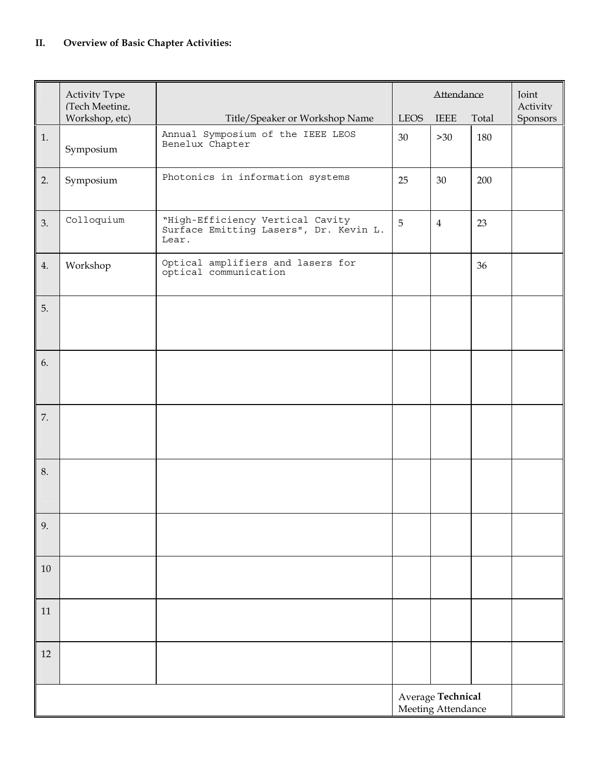|                                         | <b>Activity Type</b><br>(Tech Meeting, |                                                                                     | Attendance  |                | <b>Joint</b><br>Activity |          |
|-----------------------------------------|----------------------------------------|-------------------------------------------------------------------------------------|-------------|----------------|--------------------------|----------|
|                                         | Workshop, etc)                         | Title/Speaker or Workshop Name                                                      | <b>LEOS</b> | <b>IEEE</b>    | Total                    | Sponsors |
| 1.                                      | Symposium                              | Annual Symposium of the IEEE LEOS<br>Benelux Chapter                                | 30          | >30            | 180                      |          |
| 2.                                      | Symposium                              | Photonics in information systems                                                    | 25          | 30             | 200                      |          |
| 3.                                      | Colloquium                             | "High-Efficiency Vertical Cavity<br>Surface Emitting Lasers", Dr. Kevin L.<br>Lear. | 5           | $\overline{4}$ | 23                       |          |
| 4.                                      | Workshop                               | Optical amplifiers and lasers for<br>optical communication                          |             |                | 36                       |          |
| 5.                                      |                                        |                                                                                     |             |                |                          |          |
| 6.                                      |                                        |                                                                                     |             |                |                          |          |
| 7.                                      |                                        |                                                                                     |             |                |                          |          |
| 8.                                      |                                        |                                                                                     |             |                |                          |          |
| 9.                                      |                                        |                                                                                     |             |                |                          |          |
| $10\,$                                  |                                        |                                                                                     |             |                |                          |          |
| 11                                      |                                        |                                                                                     |             |                |                          |          |
| 12                                      |                                        |                                                                                     |             |                |                          |          |
| Average Technical<br>Meeting Attendance |                                        |                                                                                     |             |                |                          |          |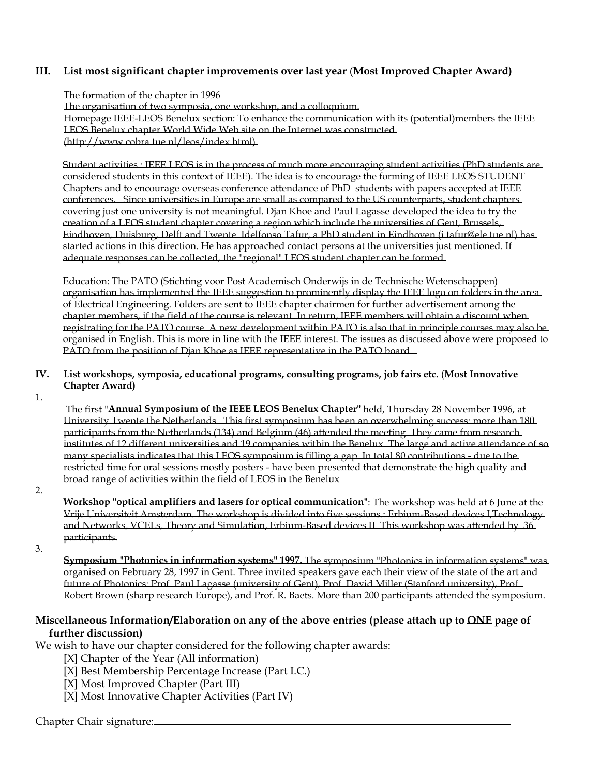## **III. List most significant chapter improvements over last year** (**Most Improved Chapter Award)**

The formation of the chapter in 1996

The organisation of two symposia, one workshop, and a colloquium.

 Homepage IEEE-LEOS Benelux section: To enhance the communication with its (potential)members the IEEE LEOS Benelux chapter World Wide Web site on the Internet was constructed (http://www.cobra.tue.nl/leos/index.html).

 Student activities : IEEE LEOS is in the process of much more encouraging student activities (PhD students are considered students in this context of IEEE). The idea is to encourage the forming of IEEE LEOS STUDENT Chapters and to encourage overseas conference attendance of PhD students with papers accepted at IEEE conferences. Since universities in Europe are small as compared to the US counterparts, student chapters covering just one university is not meaningful. Djan Khoe and Paul Lagasse developed the idea to try the creation of a LEOS student chapter covering a region which include the universities of Gent, Brussels, Eindhoven, Duisburg, Delft and Twente. Idelfonso Tafur, a PhD student in Eindhoven (i.tafur@ele.tue.nl) has started actions in this direction. He has approached contact persons at the universities just mentioned. If adequate responses can be collected, the "regional" LEOS student chapter can be formed.

 Education: The PATO (Stichting voor Post Academisch Onderwijs in de Technische Wetenschappen) organisation has implemented the IEEE suggestion to prominently display the IEEE logo on folders in the area of Electrical Engineering. Folders are sent to IEEE chapter chairmen for further advertisement among the chapter members, if the field of the course is relevant. In return, IEEE members will obtain a discount when registrating for the PATO course. A new development within PATO is also that in principle courses may also be organised in English. This is more in line with the IEEE interest. The issues as discussed above were proposed to PATO from the position of Djan Khoe as IEEE representative in the PATO board.

- **IV. List workshops, symposia, educational programs, consulting programs, job fairs etc.** (**Most Innovative Chapter Award)**
- 1.

 The first "**Annual Symposium of the IEEE LEOS Benelux Chapter"** held, Thursday 28 November 1996, at University Twente the Netherlands. This first symposium has been an overwhelming success: more than 180 participants from the Netherlands (134) and Belgium (46) attended the meeting. They came from research institutes of 12 different universities and 19 companies within the Benelux. The large and active attendance of so many specialists indicates that this LEOS symposium is filling a gap. In total 80 contributions - due to the restricted time for oral sessions mostly posters - have been presented that demonstrate the high quality and broad range of activities within the field of LEOS in the Benelux

2.

 **Workshop "optical amplifiers and lasers for optical communication"**: The workshop was held at 6 June at the Vrije Universiteit Amsterdam. The workshop is divided into five sessions.: Erbium-Based devices I,Technology and Networks, VCELs, Theory and Simulation, Erbium-Based devices II. This workshop was attended by 36 participants.

3.

 **Symposium "Photonics in information systems" 1997.** The symposium "Photonics in information systems" was organised on February 28, 1997 in Gent. Three invited speakers gave each their view of the state of the art and future of Photonics: Prof. Paul Lagasse (university of Gent), Prof. David Miller (Stanford university), Prof. Robert Brown (sharp research Europe), and Prof. R. Baets. More than 200 participants attended the symposium.

# **Miscellaneous Information/Elaboration on any of the above entries (please attach up to ONE page of further discussion)**

We wish to have our chapter considered for the following chapter awards:

- [X] Chapter of the Year (All information)
- [X] Best Membership Percentage Increase (Part I.C.)
- [X] Most Improved Chapter (Part III)
- [X] Most Innovative Chapter Activities (Part IV)

Chapter Chair signature: